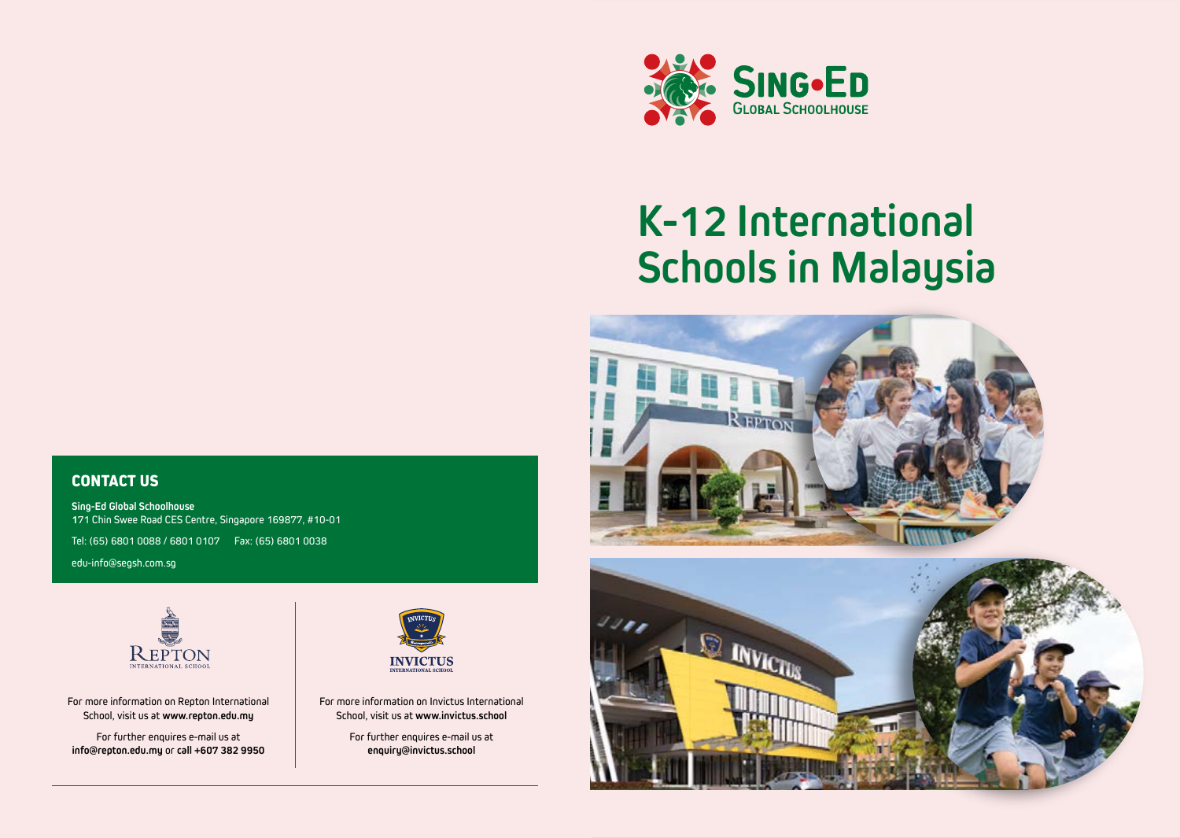

# **K-12 International Schools in Malaysia**





## **CONTACT US**

**Sing-Ed Global Schoolhouse 1**71 Chin Swee Road CES Centre, Singapore 169877, #10-01

Tel: (65) 6801 0088 / 6801 0107 Fax: (65) 6801 0038

edu-info@segsh.com.sg



For more information on Repton International School, visit us at **www.repton.edu.my**

For further enquires e-mail us at **info@repton.edu.my** or **call +607 382 9950**



For more information on Invictus International School, visit us at **www.invictus.school**

> For further enquires e-mail us at **enquiry@invictus.school**